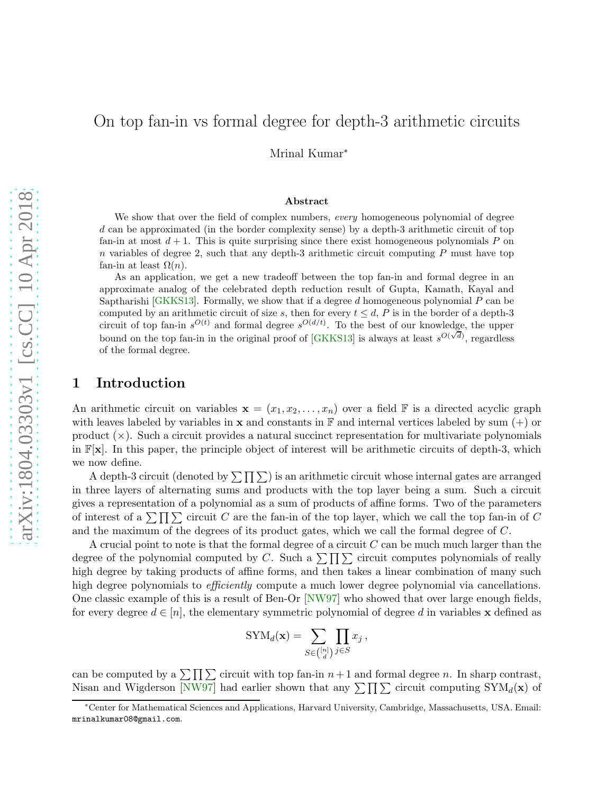Mrinal Kumar<sup>∗</sup>

#### Abstract

We show that over the field of complex numbers, *every* homogeneous polynomial of degree d can be approximated (in the border complexity sense) by a depth-3 arithmetic circuit of top fan-in at most  $d + 1$ . This is quite surprising since there exist homogeneous polynomials P on  $n$  variables of degree 2, such that any depth-3 arithmetic circuit computing  $P$  must have top fan-in at least  $\Omega(n)$ .

As an application, we get a new tradeoff between the top fan-in and formal degree in an approximate analog of the celebrated depth reduction result of Gupta, Kamath, Kayal and Saptharishi  $[GKKS13]$ . Formally, we show that if a degree d homogeneous polynomial P can be computed by an arithmetic circuit of size s, then for every  $t \leq d$ , P is in the border of a depth-3 circuit of top fan-in  $s^{O(t)}$  and formal degree  $s^{O(d/t)}$ . To the best of our knowledge, the upper bound on the top fan-in in the original proof of [\[GKKS13\]](#page-7-0) is always at least  $s^{O(\sqrt{d})}$ , regardless of the formal degree.

### 1 Introduction

An arithmetic circuit on variables  $\mathbf{x} = (x_1, x_2, \ldots, x_n)$  over a field  $\mathbb F$  is a directed acyclic graph with leaves labeled by variables in  $x$  and constants in F and internal vertices labeled by sum  $(+)$  or product  $(\times)$ . Such a circuit provides a natural succinct representation for multivariate polynomials in  $\mathbb{F}[\mathbf{x}]$ . In this paper, the principle object of interest will be arithmetic circuits of depth-3, which we now define.

A depth-3 circuit (denoted by  $\sum \prod \sum$ ) is an arithmetic circuit whose internal gates are arranged in three layers of alternating sums and products with the top layer being a sum. Such a circuit gives a representation of a polynomial as a sum of products of affine forms. Two of the parameters of interest of a  $\sum \prod \sum$  circuit C are the fan-in of the top layer, which we call the top fan-in of C and the maximum of the degrees of its product gates, which we call the formal degree of C.

A crucial point to note is that the formal degree of a circuit  $C$  can be much much larger than the degree of the polynomial computed by C. Such a  $\sum \prod \sum$  circuit computes polynomials of really high degree by taking products of affine forms, and then takes a linear combination of many such high degree polynomials to *efficiently* compute a much lower degree polynomial via cancellations. One classic example of this is a result of Ben-Or [\[NW97\]](#page-8-0) who showed that over large enough fields, for every degree  $d \in [n]$ , the elementary symmetric polynomial of degree d in variables x defined as

$$
\text{SYM}_d(\mathbf{x}) = \sum_{S \in \binom{[n]}{d}} \prod_{j \in S} x_j \,,
$$

can be computed by a  $\sum \prod \sum$  circuit with top fan-in  $n+1$  and formal degree n. In sharp contrast, Nisan and Wigderson [\[NW97\]](#page-8-0) had earlier shown that any  $\sum \prod \sum$  circuit computing  $SYM_d(\mathbf{x})$  of

<sup>∗</sup>Center for Mathematical Sciences and Applications, Harvard University, Cambridge, Massachusetts, USA. Email: mrinalkumar08@gmail.com.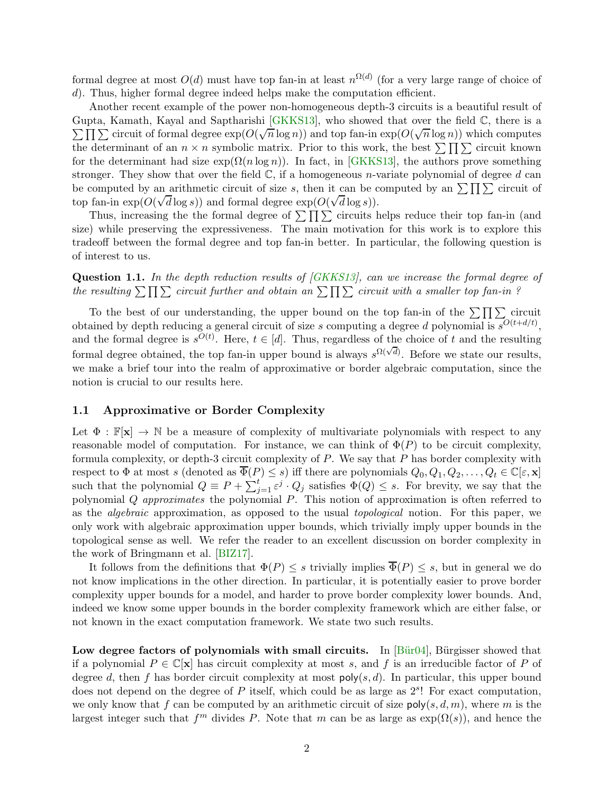formal degree at most  $O(d)$  must have top fan-in at least  $n^{\Omega(d)}$  (for a very large range of choice of d). Thus, higher formal degree indeed helps make the computation efficient.

Another recent example of the power non-homogeneous depth-3 circuits is a beautiful result of  $\sum \prod_{i=1}^n \sum_{i=1}^n$  circuit of formal degree  $\exp(O(\sqrt{n}\log n))$  and top fan-in  $\exp(O(\sqrt{n}\log n))$  which computes Gupta, Kamath, Kayal and Saptharishi [\[GKKS13\]](#page-7-0), who showed that over the field C, there is a the determinant of an  $n \times n$  symbolic matrix. Prior to this work, the best  $\sum \prod \sum$  circuit known for the determinant had size  $\exp(\Omega(n \log n))$ . In fact, in [\[GKKS13\]](#page-7-0), the authors prove something stronger. They show that over the field  $\mathbb{C}$ , if a homogeneous *n*-variate polynomial of degree d can be computed by an arithmetic circuit of size s, then it can be computed by an  $\sum \prod \sum$  circuit of top fan-in  $exp(O(\sqrt{d} \log s))$  and formal degree  $exp(O(\sqrt{d} \log s))$ .

Thus, increasing the the formal degree of  $\sum \prod \sum$  circuits helps reduce their top fan-in (and size) while preserving the expressiveness. The main motivation for this work is to explore this tradeoff between the formal degree and top fan-in better. In particular, the following question is of interest to us.

<span id="page-1-0"></span>Question 1.1. In the depth reduction results of [\[GKKS13\]](#page-7-0), can we increase the formal degree of the resulting  $\sum \prod \sum$  circuit further and obtain an  $\sum \prod \sum$  circuit with a smaller top fan-in ?

To the best of our understanding, the upper bound on the top fan-in of the  $\sum \prod \sum$  circuit obtained by depth reducing a general circuit of size s computing a degree d polynomial is  $s^{O(t+d/t)}$ , and the formal degree is  $s^{O(t)}$ . Here,  $t \in [d]$ . Thus, regardless of the choice of t and the resulting formal degree obtained, the top fan-in upper bound is always  $s^{\Omega(\sqrt{d})}$ . Before we state our results, we make a brief tour into the realm of approximative or border algebraic computation, since the notion is crucial to our results here.

### 1.1 Approximative or Border Complexity

Let  $\Phi : \mathbb{F}[\mathbf{x}] \to \mathbb{N}$  be a measure of complexity of multivariate polynomials with respect to any reasonable model of computation. For instance, we can think of  $\Phi(P)$  to be circuit complexity, formula complexity, or depth-3 circuit complexity of  $P$ . We say that  $P$  has border complexity with respect to  $\Phi$  at most s (denoted as  $\overline{\Phi}(P) \leq s$ ) iff there are polynomials  $Q_0, Q_1, Q_2, \ldots, Q_t \in \mathbb{C}[\varepsilon, \mathbf{x}]$ such that the polynomial  $Q \equiv P + \sum_{j=1}^{t} \varepsilon^{j} \cdot Q_{j}$  satisfies  $\Phi(Q) \leq s$ . For brevity, we say that the polynomial Q approximates the polynomial P. This notion of approximation is often referred to as the *algebraic* approximation, as opposed to the usual *topological* notion. For this paper, we only work with algebraic approximation upper bounds, which trivially imply upper bounds in the topological sense as well. We refer the reader to an excellent discussion on border complexity in the work of Bringmann et al. [\[BIZ17\]](#page-7-1).

It follows from the definitions that  $\Phi(P) \leq s$  trivially implies  $\overline{\Phi}(P) \leq s$ , but in general we do not know implications in the other direction. In particular, it is potentially easier to prove border complexity upper bounds for a model, and harder to prove border complexity lower bounds. And, indeed we know some upper bounds in the border complexity framework which are either false, or not known in the exact computation framework. We state two such results.

Low degree factors of polynomials with small circuits. In  $[B\ddot{u}r04]$ , Bürgisser showed that if a polynomial  $P \in \mathbb{C}[\mathbf{x}]$  has circuit complexity at most s, and f is an irreducible factor of P of degree d, then f has border circuit complexity at most  $poly(s, d)$ . In particular, this upper bound does not depend on the degree of  $P$  itself, which could be as large as  $2<sup>s</sup>$ ! For exact computation, we only know that f can be computed by an arithmetic circuit of size  $poly(s, d, m)$ , where m is the largest integer such that  $f<sup>m</sup>$  divides P. Note that m can be as large as  $exp(\Omega(s))$ , and hence the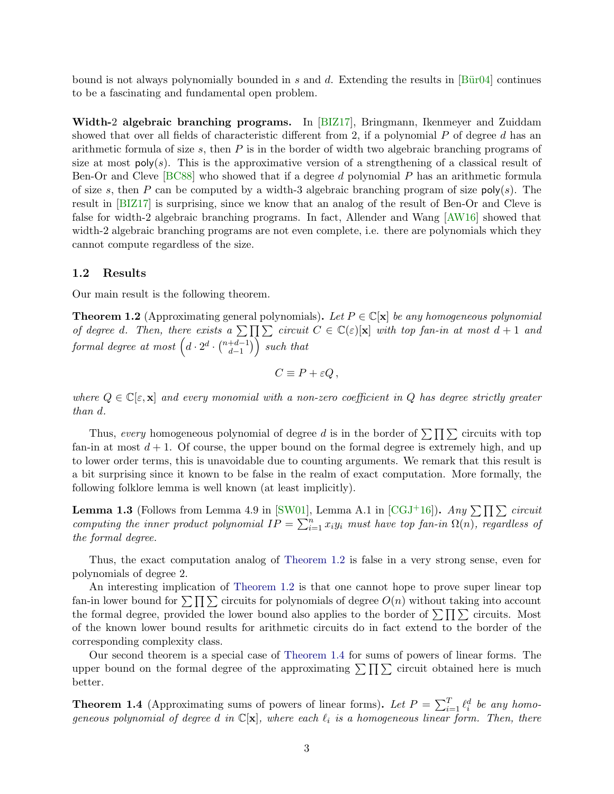bound is not always polynomially bounded in s and d. Extending the results in  $\left| \underline{\text{Bür04}} \right|$  continues to be a fascinating and fundamental open problem.

Width-2 algebraic branching programs. In [\[BIZ17\]](#page-7-1), Bringmann, Ikenmeyer and Zuiddam showed that over all fields of characteristic different from 2, if a polynomial  $P$  of degree  $d$  has an arithmetic formula of size  $s$ , then  $P$  is in the border of width two algebraic branching programs of size at most  $\text{poly}(s)$ . This is the approximative version of a strengthening of a classical result of Ben-Or and Cleve [\[BC88\]](#page-7-3) who showed that if a degree d polynomial P has an arithmetic formula of size s, then P can be computed by a width-3 algebraic branching program of size  $poly(s)$ . The result in [\[BIZ17\]](#page-7-1) is surprising, since we know that an analog of the result of Ben-Or and Cleve is false for width-2 algebraic branching programs. In fact, Allender and Wang [\[AW16\]](#page-7-4) showed that width-2 algebraic branching programs are not even complete, i.e. there are polynomials which they cannot compute regardless of the size.

#### 1.2 Results

Our main result is the following theorem.

<span id="page-2-0"></span>**Theorem 1.2** (Approximating general polynomials). Let  $P \in \mathbb{C}[\mathbf{x}]$  be any homogeneous polynomial of degree d. Then, there exists a  $\sum \prod_{i=1}^n \sum_{i=1}^n circuit C \in \mathbb{C}(\varepsilon)[x]$  with top fan-in at most  $d+1$  and  $\emph{formal degree at most } \left( d\cdot2^{d}\cdot\binom{n+d-1}{d-1}\right.$  $\binom{+d-1}{d-1}$  such that

 $C \equiv P + \varepsilon Q$ ,

where  $Q \in \mathbb{C}[\varepsilon, \mathbf{x}]$  and every monomial with a non-zero coefficient in Q has degree strictly greater than d.

Thus, every homogeneous polynomial of degree d is in the border of  $\sum \prod \sum$  circuits with top fan-in at most  $d + 1$ . Of course, the upper bound on the formal degree is extremely high, and up to lower order terms, this is unavoidable due to counting arguments. We remark that this result is a bit surprising since it known to be false in the realm of exact computation. More formally, the following folklore lemma is well known (at least implicitly).

**Lemma 1.3** (Follows from Lemma 4.9 in [\[SW01\]](#page-8-1), Lemma A.1 in [\[CGJ](#page-7-5)<sup>+</sup>16]). Any  $\sum \prod \sum$  circuit computing the inner product polynomial  $IP = \sum_{i=1}^{n} x_i y_i$  must have top fan-in  $\Omega(n)$ , regardless of the formal degree.

Thus, the exact computation analog of [Theorem 1.2](#page-2-0) is false in a very strong sense, even for polynomials of degree 2.

An interesting implication of [Theorem 1.2](#page-2-0) is that one cannot hope to prove super linear top fan-in lower bound for  $\sum \prod \sum$  circuits for polynomials of degree  $O(n)$  without taking into account the formal degree, provided the lower bound also applies to the border of  $\sum \prod \sum$  circuits. Most of the known lower bound results for arithmetic circuits do in fact extend to the border of the corresponding complexity class.

Our second theorem is a special case of [Theorem 1.4](#page-2-1) for sums of powers of linear forms. The upper bound on the formal degree of the approximating  $\sum \prod \sum$  circuit obtained here is much better.

<span id="page-2-1"></span>**Theorem 1.4** (Approximating sums of powers of linear forms). Let  $P = \sum_{i=1}^{T} \ell_i^d$  be any homogeneous polynomial of degree d in  $\mathbb{C}[\mathbf{x}]$ , where each  $\ell_i$  is a homogeneous linear form. Then, there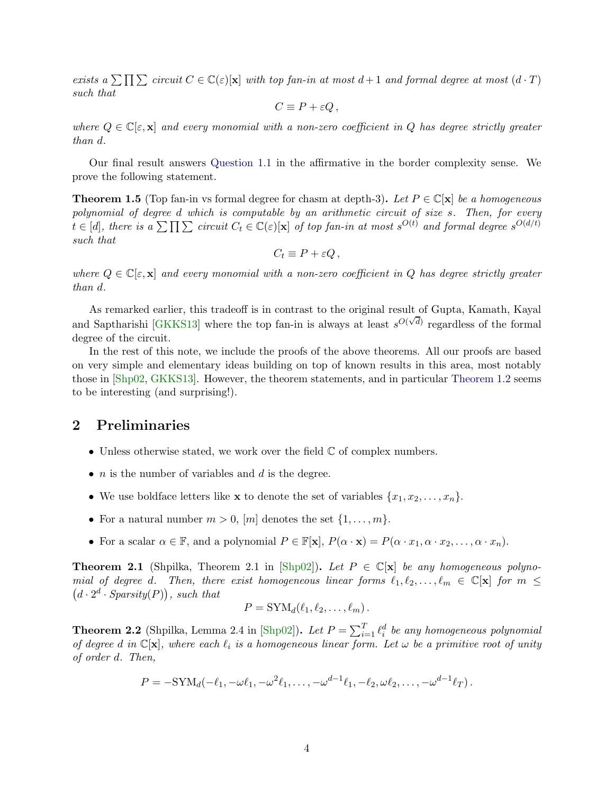exists a  $\sum \prod \sum$  circuit  $C \in \mathbb{C}(\varepsilon)[\mathbf{x}]$  with top fan-in at most  $d+1$  and formal degree at most  $(d \cdot T)$ such that

$$
C \equiv P + \varepsilon Q \,,
$$

where  $Q \in \mathbb{C}[\varepsilon, \mathbf{x}]$  and every monomial with a non-zero coefficient in Q has degree strictly greater than d.

Our final result answers [Question 1.1](#page-1-0) in the affirmative in the border complexity sense. We prove the following statement.

<span id="page-3-2"></span>**Theorem 1.5** (Top fan-in vs formal degree for chasm at depth-3). Let  $P \in \mathbb{C}[\mathbf{x}]$  be a homogeneous polynomial of degree d which is computable by an arithmetic circuit of size s. Then, for every  $t \in [d]$ , there is a  $\sum \prod \sum$  circuit  $C_t \in \mathbb{C}(\varepsilon)[\mathbf{x}]$  of top fan-in at most  $s^{O(t)}$  and formal degree  $s^{O(d/t)}$ such that

$$
C_t \equiv P + \varepsilon Q\,,
$$

where  $Q \in \mathbb{C}[\varepsilon, \mathbf{x}]$  and every monomial with a non-zero coefficient in Q has degree strictly greater than d.

As remarked earlier, this tradeoff is in contrast to the original result of Gupta, Kamath, Kayal and Saptharishi [\[GKKS13\]](#page-7-0) where the top fan-in is always at least  $s^{O(\sqrt{d})}$  regardless of the formal degree of the circuit.

In the rest of this note, we include the proofs of the above theorems. All our proofs are based on very simple and elementary ideas building on top of known results in this area, most notably those in [\[Shp02,](#page-8-2) [GKKS13\]](#page-7-0). However, the theorem statements, and in particular [Theorem 1.2](#page-2-0) seems to be interesting (and surprising!).

## 2 Preliminaries

- Unless otherwise stated, we work over the field  $\mathbb C$  of complex numbers.
- $n$  is the number of variables and  $d$  is the degree.
- We use boldface letters like **x** to denote the set of variables  $\{x_1, x_2, \ldots, x_n\}$ .
- For a natural number  $m > 0$ ,  $[m]$  denotes the set  $\{1, \ldots, m\}$ .
- For a scalar  $\alpha \in \mathbb{F}$ , and a polynomial  $P \in \mathbb{F}[\mathbf{x}]$ ,  $P(\alpha \cdot \mathbf{x}) = P(\alpha \cdot x_1, \alpha \cdot x_2, \dots, \alpha \cdot x_n)$ .

<span id="page-3-0"></span>**Theorem 2.1** (Shpilka, Theorem 2.1 in [\[Shp02\]](#page-8-2)). Let  $P \in \mathbb{C}[\mathbf{x}]$  be any homogeneous polynomial of degree d. Then, there exist homogeneous linear forms  $\ell_1, \ell_2, \ldots, \ell_m \in \mathbb{C}[\mathbf{x}]$  for  $m \leq$  $(d \cdot 2^d \cdot Sparsity(P)),$  such that

$$
P = \mathrm{SYM}_d(\ell_1, \ell_2, \ldots, \ell_m).
$$

<span id="page-3-1"></span>**Theorem 2.2** (Shpilka, Lemma 2.4 in [\[Shp02\]](#page-8-2)). Let  $P = \sum_{i=1}^{T} \ell_i^d$  be any homogeneous polynomial of degree d in  $\mathbb{C}[\mathbf{x}]$ , where each  $\ell_i$  is a homogeneous linear form. Let  $\omega$  be a primitive root of unity of order d. Then,

$$
P = -\mathrm{SYM}_d(-\ell_1, -\omega\ell_1, -\omega^2\ell_1, \ldots, -\omega^{d-1}\ell_1, -\ell_2, \omega\ell_2, \ldots, -\omega^{d-1}\ell_T).
$$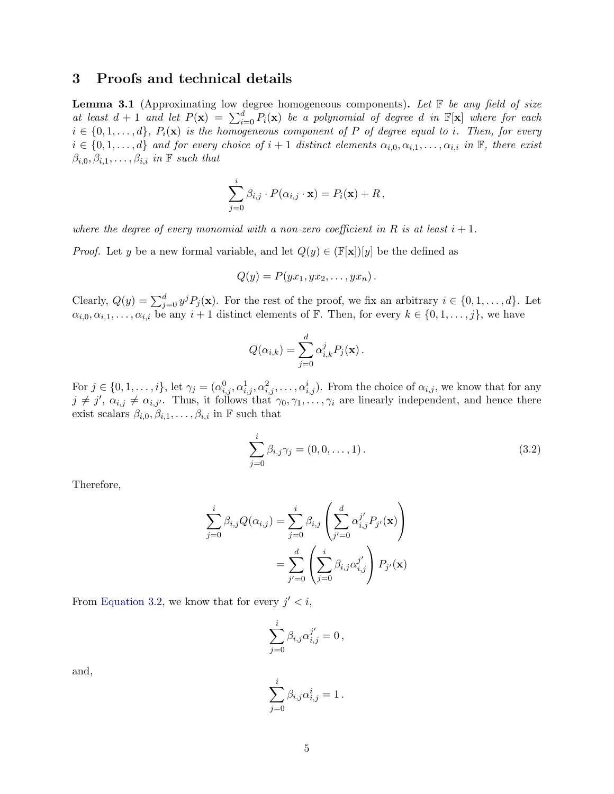## 3 Proofs and technical details

<span id="page-4-1"></span>**Lemma 3.1** (Approximating low degree homogeneous components). Let  $\mathbb F$  be any field of size at least  $d+1$  and let  $P(\mathbf{x}) = \sum_{i=0}^{d} P_i(\mathbf{x})$  be a polynomial of degree d in  $\mathbb{F}[\mathbf{x}]$  where for each  $i \in \{0, 1, \ldots, d\}, P_i(\mathbf{x})$  is the homogeneous component of P of degree equal to i. Then, for every  $i \in \{0, 1, \ldots, d\}$  and for every choice of  $i + 1$  distinct elements  $\alpha_{i,0}, \alpha_{i,1}, \ldots, \alpha_{i,i}$  in  $\mathbb{F}$ , there exist  $\beta_{i,0}, \beta_{i,1}, \ldots, \beta_{i,i}$  in  $\mathbb F$  such that

$$
\sum_{j=0}^{i} \beta_{i,j} \cdot P(\alpha_{i,j} \cdot \mathbf{x}) = P_i(\mathbf{x}) + R,
$$

where the degree of every monomial with a non-zero coefficient in R is at least  $i + 1$ .

*Proof.* Let y be a new formal variable, and let  $Q(y) \in (\mathbb{F}[\mathbf{x}])[y]$  be the defined as

$$
Q(y) = P(yx_1, yx_2, \ldots, yx_n).
$$

Clearly,  $Q(y) = \sum_{j=0}^{d} y^j P_j(\mathbf{x})$ . For the rest of the proof, we fix an arbitrary  $i \in \{0, 1, ..., d\}$ . Let  $\alpha_{i,0}, \alpha_{i,1}, \ldots, \alpha_{i,i}$  be any  $i+1$  distinct elements of F. Then, for every  $k \in \{0,1,\ldots,j\}$ , we have

$$
Q(\alpha_{i,k}) = \sum_{j=0}^d \alpha_{i,k}^j P_j(\mathbf{x}).
$$

For  $j \in \{0, 1, \ldots, i\}$ , let  $\gamma_j = (\alpha_{i,j}^0, \alpha_{i,j}^1, \alpha_{i,j}^2, \ldots, \alpha_{i,j}^i)$ . From the choice of  $\alpha_{i,j}$ , we know that for any  $j \neq j', \alpha_{i,j} \neq \alpha_{i,j'}.$  Thus, it follows that  $\gamma_0, \gamma_1, \ldots, \gamma_i$  are linearly independent, and hence there exist scalars  $\beta_{i,0}, \beta_{i,1}, \ldots, \beta_{i,i}$  in F such that

<span id="page-4-0"></span>
$$
\sum_{j=0}^{i} \beta_{i,j} \gamma_j = (0, 0, \dots, 1).
$$
 (3.2)

Therefore,

$$
\sum_{j=0}^{i} \beta_{i,j} Q(\alpha_{i,j}) = \sum_{j=0}^{i} \beta_{i,j} \left( \sum_{j'=0}^{d} \alpha_{i,j}^{j'} P_{j'}(\mathbf{x}) \right)
$$

$$
= \sum_{j'=0}^{d} \left( \sum_{j=0}^{i} \beta_{i,j} \alpha_{i,j}^{j'} \right) P_{j'}(\mathbf{x})
$$

From [Equation 3.2,](#page-4-0) we know that for every  $j' < i$ ,

$$
\sum_{j=0}^i \beta_{i,j} \alpha_{i,j}^{j'} = 0,
$$

and,

$$
\sum_{j=0}^i \beta_{i,j} \alpha_{i,j}^i = 1.
$$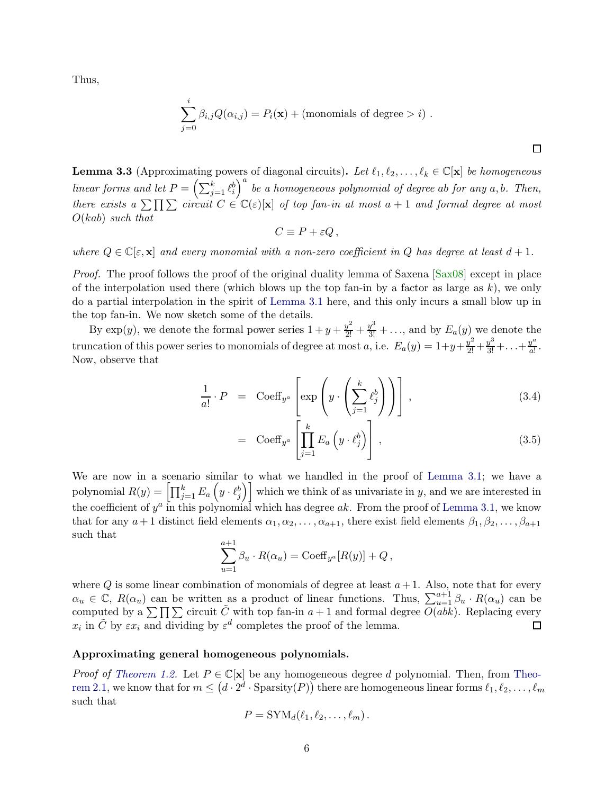Thus,

$$
\sum_{j=0}^{i} \beta_{i,j} Q(\alpha_{i,j}) = P_i(\mathbf{x}) + \text{(monomials of degree } > i) .
$$

<span id="page-5-0"></span>**Lemma 3.3** (Approximating powers of diagonal circuits). Let  $\ell_1, \ell_2, \ldots, \ell_k \in \mathbb{C}[\mathbf{x}]$  be homogeneous linear forms and let  $P = \left(\sum_{j=1}^k \ell_i^b\right)^a$  be a homogeneous polynomial of degree ab for any a, b. Then, there exists a  $\sum \prod \sum$  circuit  $C \in \mathbb{C}(\varepsilon)[\mathbf{x}]$  of top fan-in at most  $a + 1$  and formal degree at most  $O(kab)$  such that

$$
C \equiv P + \varepsilon Q \,,
$$

where  $Q \in \mathbb{C}[\varepsilon, \mathbf{x}]$  and every monomial with a non-zero coefficient in Q has degree at least  $d+1$ .

*Proof.* The proof follows the proof of the original duality lemma of Saxena  $[Sax08]$  except in place of the interpolation used there (which blows up the top fan-in by a factor as large as  $k$ ), we only do a partial interpolation in the spirit of [Lemma 3.1](#page-4-1) here, and this only incurs a small blow up in the top fan-in. We now sketch some of the details.

By  $\exp(y)$ , we denote the formal power series  $1 + y + \frac{y^2}{2!} + \frac{y^3}{3!} + \ldots$ , and by  $E_a(y)$  we denote the truncation of this power series to monomials of degree at most a, i.e.  $E_a(y) = 1 + y + \frac{y^2}{2!} + \frac{y^3}{3!} + \ldots + \frac{y^a}{a!}$  $rac{y}{a!}$ . Now, observe that

$$
\frac{1}{a!} \cdot P = \text{Coeff}_{y^a} \left[ \exp \left( y \cdot \left( \sum_{j=1}^k \ell_j^b \right) \right) \right], \tag{3.4}
$$

$$
= \operatorname{Coeff}_{y^a} \left[ \prod_{j=1}^k E_a \left( y \cdot \ell_j^b \right) \right], \tag{3.5}
$$

 $\Box$ 

We are now in a scenario similar to what we handled in the proof of [Lemma 3.1;](#page-4-1) we have a polynomial  $R(y) = \left[ \prod_{j=1}^k E_a \left( y \cdot \ell_j^b \right) \right]$  which we think of as univariate in y, and we are interested in the coefficient of  $y^a$  in this polynomial which has degree ak. From the proof of [Lemma 3.1,](#page-4-1) we know that for any  $a+1$  distinct field elements  $\alpha_1, \alpha_2, \ldots, \alpha_{a+1}$ , there exist field elements  $\beta_1, \beta_2, \ldots, \beta_{a+1}$ such that  $\sim$  1.1

$$
\sum_{u=1}^{a+1} \beta_u \cdot R(\alpha_u) = \text{Coeff}_{y^a}[R(y)] + Q,
$$

where Q is some linear combination of monomials of degree at least  $a+1$ . Also, note that for every  $\alpha_u \in \mathbb{C}, R(\alpha_u)$  can be written as a product of linear functions. Thus,  $\sum_{u=1}^{a+1} \beta_u \cdot R(\alpha_u)$  can be computed by a  $\sum \prod \sum$  circuit  $\tilde{C}$  with top fan-in  $a+1$  and formal degree  $\overline{O(abk)}$ . Replacing every  $x_i$  in  $\tilde{C}$  by  $\varepsilon x_i$  and dividing by  $\varepsilon^d$  completes the proof of the lemma.

#### Approximating general homogeneous polynomials.

*Proof of [Theorem 1.2.](#page-2-0)* Let  $P \in \mathbb{C}[\mathbf{x}]$  be any homogeneous degree d polynomial. Then, from [Theo-](#page-3-0) $\text{rem } 2.1, \text{ we know that for } m \leq (d \cdot 2^d \cdot \text{Sparsity}(P)) \text{ there are homogeneous linear forms } \ell_1, \ell_2, \ldots, \ell_m$ such that

$$
P = \text{SYM}_d(\ell_1, \ell_2, \ldots, \ell_m).
$$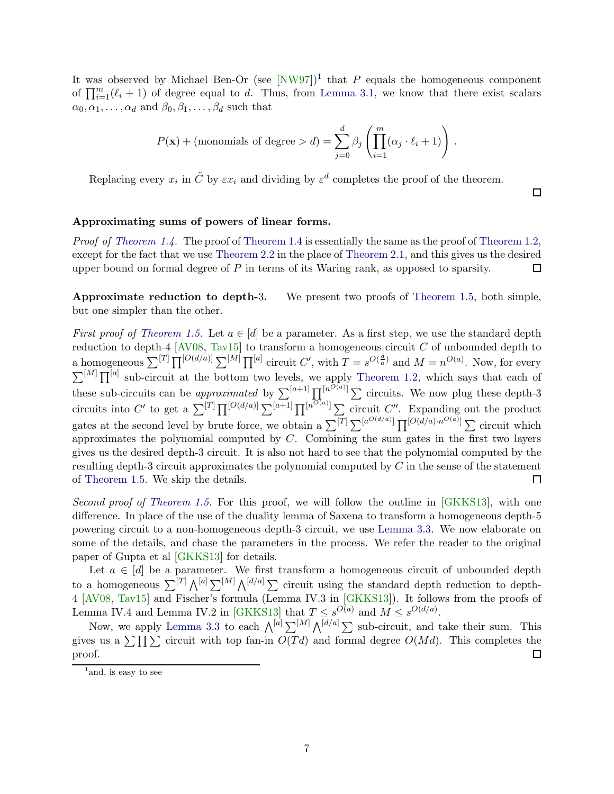It was observed by Michael Ben-Or (see  $[NW97]$ <sup>[1](#page-6-0)</sup> that P equals the homogeneous component of  $\prod_{i=1}^{m}(\ell_i+1)$  of degree equal to d. Thus, from [Lemma 3.1,](#page-4-1) we know that there exist scalars  $\alpha_0, \alpha_1, \ldots, \alpha_d$  and  $\beta_0, \beta_1, \ldots, \beta_d$  such that

$$
P(\mathbf{x}) + \text{(monomials of degree} > d) = \sum_{j=0}^{d} \beta_j \left( \prod_{i=1}^{m} (\alpha_j \cdot \ell_i + 1) \right).
$$

Replacing every  $x_i$  in  $\tilde{C}$  by  $\varepsilon x_i$  and dividing by  $\varepsilon^d$  completes the proof of the theorem.

口

### Approximating sums of powers of linear forms.

Proof of [Theorem 1.4.](#page-2-1) The proof of [Theorem 1.4](#page-2-1) is essentially the same as the proof of [Theorem 1.2,](#page-2-0) except for the fact that we use [Theorem 2.2](#page-3-1) in the place of [Theorem 2.1,](#page-3-0) and this gives us the desired upper bound on formal degree of P in terms of its Waring rank, as opposed to sparsity. □

Approximate reduction to depth-3. We present two proofs of [Theorem 1.5,](#page-3-2) both simple, but one simpler than the other.

*First proof of [Theorem 1.5.](#page-3-2)* Let  $a \in [d]$  be a parameter. As a first step, we use the standard depth reduction to depth-4  $[AV08, Tav15]$  $[AV08, Tav15]$  to transform a homogeneous circuit C of unbounded depth to a homogeneous  $\sum^{[T]} \prod^{[O(d/a)]} \sum^{[M]} \prod^{[a]}$  circuit C', with  $T = s^{O(\frac{d}{a})}$  and  $M = n^{O(a)}$ . Now, for every  $\sum^{[M]} \prod^{[a]}$  sub-circuit at the bottom two levels, we apply [Theorem 1.2,](#page-2-0) which says that each of these sub-circuits can be *approximated* by  $\sum^{[a+1]} \prod^{[n^{O(a)}]} \sum$  circuits. We now plug these depth-3 circuits into C' to get a  $\sum^{[T]} \prod^{[O(d/a)]} \sum^{[a+1]} \prod^{[n^{O(a)}]} \sum$  circuit C''. Expanding out the product gates at the second level by brute force, we obtain a  $\sum^{[T]} \sum^{[a^{O(d/a)}]} \prod^{[O(d/a) \cdot n^{O(a)}}] \sum$  circuit which approximates the polynomial computed by  $C$ . Combining the sum gates in the first two layers gives us the desired depth-3 circuit. It is also not hard to see that the polynomial computed by the resulting depth-3 circuit approximates the polynomial computed by C in the sense of the statement of [Theorem 1.5.](#page-3-2) We skip the details. □

Second proof of [Theorem 1.5.](#page-3-2) For this proof, we will follow the outline in  $[GKKS13]$ , with one difference. In place of the use of the duality lemma of Saxena to transform a homogeneous depth-5 powering circuit to a non-homogeneous depth-3 circuit, we use [Lemma 3.3.](#page-5-0) We now elaborate on some of the details, and chase the parameters in the process. We refer the reader to the original paper of Gupta et al [\[GKKS13\]](#page-7-0) for details.

Let  $a \in [d]$  be a parameter. We first transform a homogeneous circuit of unbounded depth to a homogeneous  $\sum^{[T]} \bigwedge^{[a]} \sum^{[M]} \bigwedge^{[d/a]} \sum$  circuit using the standard depth reduction to depth-4 [\[AV08,](#page-7-6) [Tav15\]](#page-8-4) and Fischer's formula (Lemma IV.3 in [\[GKKS13\]](#page-7-0)). It follows from the proofs of Lemma IV.4 and Lemma IV.2 in [\[GKKS13\]](#page-7-0) that  $T \n\t\leq s^{O(a)}$  and  $M \leq s^{O(d/a)}$ .

Now, we apply [Lemma 3.3](#page-5-0) to each  $\bigwedge^{[a]} \sum^{[M]} \bigwedge^{[d/a]} \sum$  sub-circuit, and take their sum. This gives us a  $\sum \prod \sum$  circuit with top fan-in  $O(Td)$  and formal degree  $O(Md)$ . This completes the proof.  $\Box$ 

<span id="page-6-0"></span><sup>&</sup>lt;sup>1</sup> and, is easy to see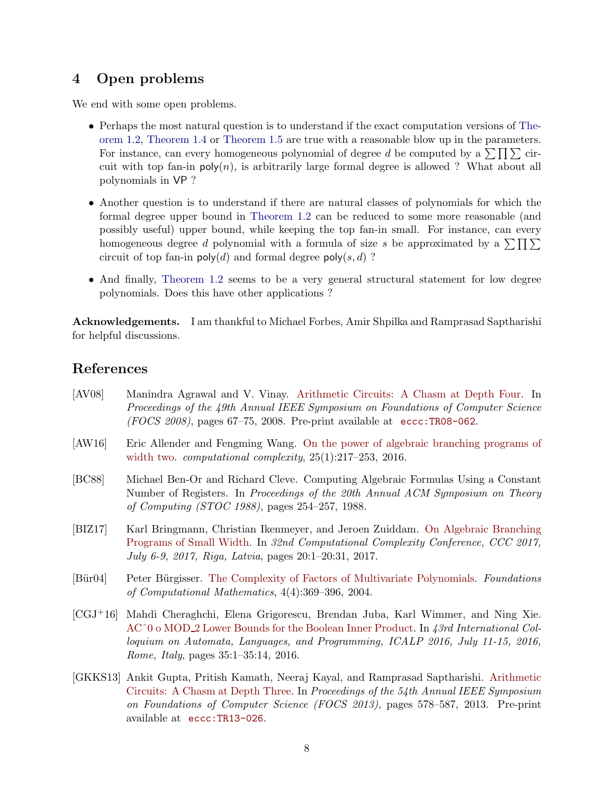# 4 Open problems

We end with some open problems.

- Perhaps the most natural question is to understand if the exact computation versions of [The](#page-2-0)[orem 1.2,](#page-2-0) [Theorem 1.4](#page-2-1) or [Theorem 1.5](#page-3-2) are true with a reasonable blow up in the parameters. For instance, can every homogeneous polynomial of degree d be computed by a  $\sum \prod \sum$  circuit with top fan-in  $poly(n)$ , is arbitrarily large formal degree is allowed ? What about all polynomials in VP ?
- Another question is to understand if there are natural classes of polynomials for which the formal degree upper bound in [Theorem 1.2](#page-2-0) can be reduced to some more reasonable (and possibly useful) upper bound, while keeping the top fan-in small. For instance, can every homogeneous degree d polynomial with a formula of size s be approximated by a  $\sum \prod \sum$ circuit of top fan-in  $\mathsf{poly}(d)$  and formal degree  $\mathsf{poly}(s, d)$ ?
- And finally, [Theorem 1.2](#page-2-0) seems to be a very general structural statement for low degree polynomials. Does this have other applications ?

Acknowledgements. I am thankful to Michael Forbes, Amir Shpilka and Ramprasad Saptharishi for helpful discussions.

# References

- <span id="page-7-6"></span>[AV08] Manindra Agrawal and V. Vinay. [Arithmetic Circuits: A Chasm at Depth Four.](http://dx.doi.org/10.1109/FOCS.2008.32) In Proceedings of the 49th Annual IEEE Symposium on Foundations of Computer Science  $(FOCS 2008)$ , pages 67–75, 2008. Pre-print available at eccc:TR08–062.
- <span id="page-7-4"></span>[AW16] Eric Allender and Fengming Wang. [On the power of algebraic branching programs of](http://dx.doi.org/10.1007/s00037-015-0114-7) [width two.](http://dx.doi.org/10.1007/s00037-015-0114-7) *computational complexity*,  $25(1):217-253$ ,  $2016$ .
- <span id="page-7-3"></span>[BC88] Michael Ben-Or and Richard Cleve. Computing Algebraic Formulas Using a Constant Number of Registers. In Proceedings of the 20th Annual ACM Symposium on Theory of Computing (STOC 1988), pages 254–257, 1988.
- <span id="page-7-1"></span>[BIZ17] Karl Bringmann, Christian Ikenmeyer, and Jeroen Zuiddam. [On Algebraic Branching](http://dx.doi.org/10.4230/LIPIcs.CCC.2017.20) [Programs of Small Width.](http://dx.doi.org/10.4230/LIPIcs.CCC.2017.20) In 32nd Computational Complexity Conference, CCC 2017, July 6-9, 2017, Riga, Latvia, pages 20:1–20:31, 2017.
- <span id="page-7-2"></span>[Bür04] Peter Bürgisser. [The Complexity of Factors of Multivariate Polynomials.](http://dx.doi.org/10.1007/s10208-002-0059-5) Foundations of Computational Mathematics, 4(4):369–396, 2004.
- <span id="page-7-5"></span>[CGJ+16] Mahdi Cheraghchi, Elena Grigorescu, Brendan Juba, Karl Wimmer, and Ning Xie. AC<sup>o</sup>0 o MOD<sub>-2</sub> Lower Bounds for the Boolean Inner Product. In 43rd International Colloquium on Automata, Languages, and Programming, ICALP 2016, July 11-15, 2016, Rome, Italy, pages 35:1–35:14, 2016.
- <span id="page-7-0"></span>[GKKS13] Ankit Gupta, Pritish Kamath, Neeraj Kayal, and Ramprasad Saptharishi. [Arithmetic](http://dx.doi.org/10.1109/FOCS.2013.68) [Circuits: A Chasm at Depth Three.](http://dx.doi.org/10.1109/FOCS.2013.68) In Proceedings of the 54th Annual IEEE Symposium on Foundations of Computer Science (FOCS 2013), pages 578–587, 2013. Pre-print available at [eccc:TR13-026](http://eccc.weizmann.ac.il/report/2013/026/).